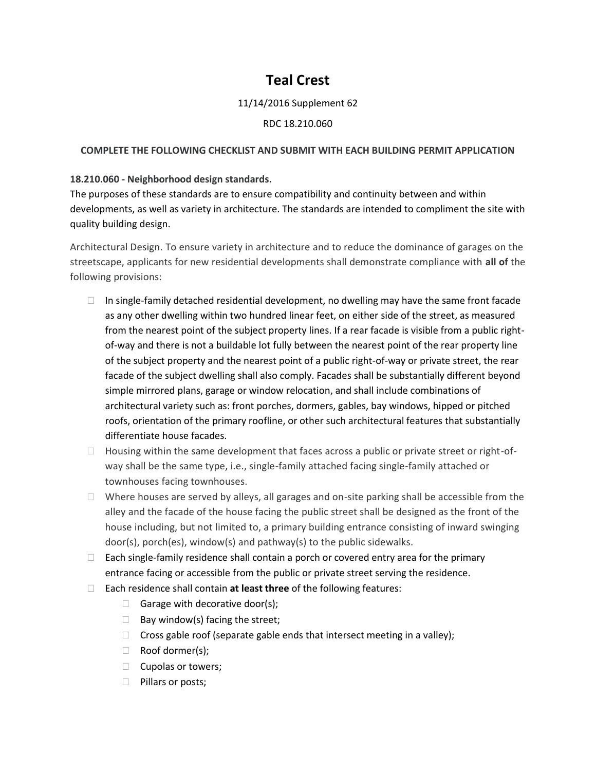# **Teal Crest**

## 11/14/2016 Supplement 62

#### RDC 18.210.060

## **COMPLETE THE FOLLOWING CHECKLIST AND SUBMIT WITH EACH BUILDING PERMIT APPLICATION**

## **18.210.060 - Neighborhood design standards.**

The purposes of these standards are to ensure compatibility and continuity between and within developments, as well as variety in architecture. The standards are intended to compliment the site with quality building design.

Architectural Design. To ensure variety in architecture and to reduce the dominance of garages on the streetscape, applicants for new residential developments shall demonstrate compliance with **all of** the following provisions:

- $\Box$  In single-family detached residential development, no dwelling may have the same front facade as any other dwelling within two hundred linear feet, on either side of the street, as measured from the nearest point of the subject property lines. If a rear facade is visible from a public rightof-way and there is not a buildable lot fully between the nearest point of the rear property line of the subject property and the nearest point of a public right-of-way or private street, the rear facade of the subject dwelling shall also comply. Facades shall be substantially different beyond simple mirrored plans, garage or window relocation, and shall include combinations of architectural variety such as: front porches, dormers, gables, bay windows, hipped or pitched roofs, orientation of the primary roofline, or other such architectural features that substantially differentiate house facades.
- $\Box$  Housing within the same development that faces across a public or private street or right-ofway shall be the same type, i.e., single-family attached facing single-family attached or townhouses facing townhouses.
- $\Box$  Where houses are served by alleys, all garages and on-site parking shall be accessible from the alley and the facade of the house facing the public street shall be designed as the front of the house including, but not limited to, a primary building entrance consisting of inward swinging door(s), porch(es), window(s) and pathway(s) to the public sidewalks.
- $\Box$  Each single-family residence shall contain a porch or covered entry area for the primary entrance facing or accessible from the public or private street serving the residence.
- Each residence shall contain **at least three** of the following features:
	- Garage with decorative door(s);
	- $\Box$  Bay window(s) facing the street;
	- $\Box$  Cross gable roof (separate gable ends that intersect meeting in a valley);
	- Roof dormer(s);
	- $\Box$  Cupolas or towers;
	- $\Box$  Pillars or posts;